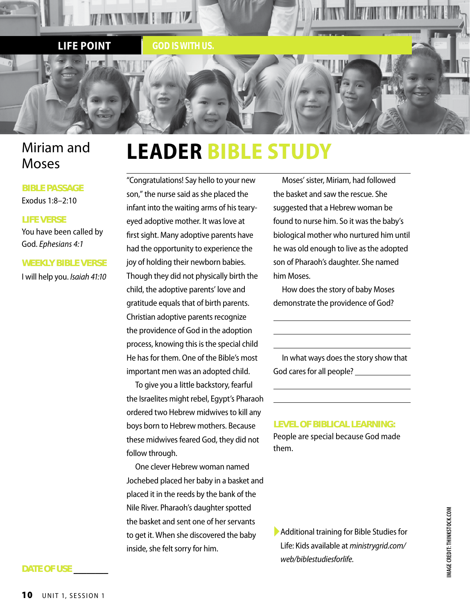

# Miriam and Moses

# **BIBLE PASSAGE**

Exodus 1:8–2:10

### **LIFE VERSE**

You have been called by God. *Ephesians 4:1*

#### **WEEKLY BIBLE VERSE**

I will help you. *Isaiah 41:10*

# **LEADER BIBLE STUDY**

"Congratulations! Say hello to your new son," the nurse said as she placed the infant into the waiting arms of his tearyeyed adoptive mother. It was love at first sight. Many adoptive parents have had the opportunity to experience the joy of holding their newborn babies. Though they did not physically birth the child, the adoptive parents' love and gratitude equals that of birth parents. Christian adoptive parents recognize the providence of God in the adoption process, knowing this is the special child He has for them. One of the Bible's most important men was an adopted child.

To give you a little backstory, fearful the Israelites might rebel, Egypt's Pharaoh ordered two Hebrew midwives to kill any boys born to Hebrew mothers. Because these midwives feared God, they did not follow through.

One clever Hebrew woman named Jochebed placed her baby in a basket and placed it in the reeds by the bank of the Nile River. Pharaoh's daughter spotted the basket and sent one of her servants to get it. When she discovered the baby inside, she felt sorry for him.

Moses' sister, Miriam, had followed the basket and saw the rescue. She suggested that a Hebrew woman be found to nurse him. So it was the baby's biological mother who nurtured him until he was old enough to live as the adopted son of Pharaoh's daughter. She named him Moses.

How does the story of baby Moses demonstrate the providence of God?

In what ways does the story show that God cares for all people?

**LEVEL OF BIBLICAL LEARNING:**

People are special because God made them.

▶ Additional training for Bible Studies for Life: Kids available at *ministrygrid.com/ web/biblestudiesforlife*.

# **DATE OF USE \_\_\_\_\_\_\_\_**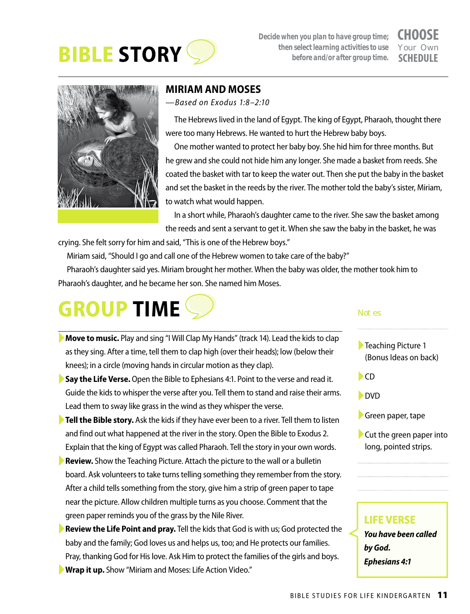

*Decide when you plan to have group time; then select learning activities to use before and/or after group time.*

# **CHOOSE** Your Own **SCHEDULE**



# **MIRIAM AND MOSES**

*—Based on Exodus 1:8–2:10*

The Hebrews lived in the land of Egypt. The king of Egypt, Pharaoh, thought there were too many Hebrews. He wanted to hurt the Hebrew baby boys.

One mother wanted to protect her baby boy. She hid him for three months. But he grew and she could not hide him any longer. She made a basket from reeds. She coated the basket with tar to keep the water out. Then she put the baby in the basket and set the basket in the reeds by the river. The mother told the baby's sister, Miriam, to watch what would happen.

In a short while, Pharaoh's daughter came to the river. She saw the basket among the reeds and sent a servant to get it. When she saw the baby in the basket, he was

crying. She felt sorry for him and said, "This is one of the Hebrew boys."

Miriam said, "Should I go and call one of the Hebrew women to take care of the baby?"

Pharaoh's daughter said yes. Miriam brought her mother. When the baby was older, the mother took him to Pharaoh's daughter, and he became her son. She named him Moses.

# **GROUP TIME**

- ►**Move to music.** Play and sing "I Will Clap My Hands" (track 14). Lead the kids to clap as they sing. After a time, tell them to clap high (over their heads); low (below their knees); in a circle (moving hands in circular motion as they clap).
- ►**Say the Life Verse.** Open the Bible to Ephesians 4:1. Point to the verse and read it. Guide the kids to whisper the verse after you. Tell them to stand and raise their arms. Lead them to sway like grass in the wind as they whisper the verse.
- ►**Tell the Bible story.** Ask the kids if they have ever been to a river. Tell them to listen and find out what happened at the river in the story. Open the Bible to Exodus 2. Explain that the king of Egypt was called Pharaoh. Tell the story in your own words.
- ►**Review.** Show the Teaching Picture. Attach the picture to the wall or a bulletin board. Ask volunteers to take turns telling something they remember from the story. After a child tells something from the story, give him a strip of green paper to tape near the picture. Allow children multiple turns as you choose. Comment that the green paper reminds you of the grass by the Nile River.
- **Review the Life Point and pray.** Tell the kids that God is with us; God protected the baby and the family; God loves us and helps us, too; and He protects our families. Pray, thanking God for His love. Ask Him to protect the families of the girls and boys.
- ►**Wrap it up.** Show "Miriam and Moses: Life Action Video."

#### Not es

- ►Teaching Picture 1 (Bonus Ideas on back)
- $\blacktriangleright$  CD
- ►Sing and move. ►DVD
- ▶Green paper, tape
- ►Cut the green paper into long, pointed strips.

# **LIFE VERSE** *You have been called by God. Ephesians 4:1*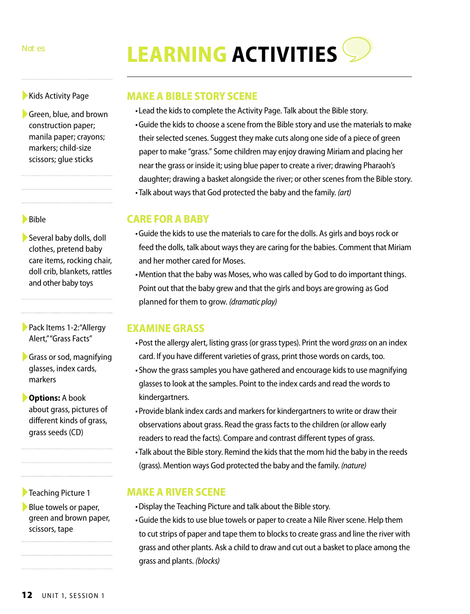# Notes **LEARNING ACTIVITIES**

▶ Kids Activity Page

▶Green, blue, and brown construction paper; manila paper; crayons; markers; child-size scissors; glue sticks

### ►Bible

►Several baby dolls, doll clothes, pretend baby care items, rocking chair, doll crib, blankets, rattles and other baby toys

►Pack Items 1-2:"Allergy Alert," "Grass Facts"

▶ Grass or sod, magnifying glasses, index cards, markers

►**Options:** A book about grass, pictures of different kinds of grass, grass seeds (CD)

►Teaching Picture 1

▶Blue towels or paper, green and brown paper, scissors, tape

# **MAKE A BIBLE STORY SCENE**

- •Lead the kids to complete the Activity Page. Talk about the Bible story.
- •Guide the kids to choose a scene from the Bible story and use the materials to make their selected scenes. Suggest they make cuts along one side of a piece of green paper to make "grass." Some children may enjoy drawing Miriam and placing her near the grass or inside it; using blue paper to create a river; drawing Pharaoh's daughter; drawing a basket alongside the river; or other scenes from the Bible story. •Talk about ways that God protected the baby and the family. *(art)*

# **CARE FOR A BABY**

- •Guide the kids to use the materials to care for the dolls. As girls and boys rock or feed the dolls, talk about ways they are caring for the babies. Comment that Miriam and her mother cared for Moses.
- •Mention that the baby was Moses, who was called by God to do important things. Point out that the baby grew and that the girls and boys are growing as God planned for them to grow. *(dramatic play)*

# **EXAMINE GRASS**

- •Post the allergy alert, listing grass (or grass types). Print the word *grass* on an index card. If you have different varieties of grass, print those words on cards, too.
- •Show the grass samples you have gathered and encourage kids to use magnifying glasses to look at the samples. Point to the index cards and read the words to kindergartners.
- •Provide blank index cards and markers for kindergartners to write or draw their observations about grass. Read the grass facts to the children (or allow early readers to read the facts). Compare and contrast different types of grass.
- •Talk about the Bible story. Remind the kids that the mom hid the baby in the reeds (grass). Mention ways God protected the baby and the family. *(nature)*

# **MAKE A RIVER SCENE**

- •Display the Teaching Picture and talk about the Bible story.
- •Guide the kids to use blue towels or paper to create a Nile River scene. Help them to cut strips of paper and tape them to blocks to create grass and line the river with grass and other plants. Ask a child to draw and cut out a basket to place among the grass and plants. *(blocks)*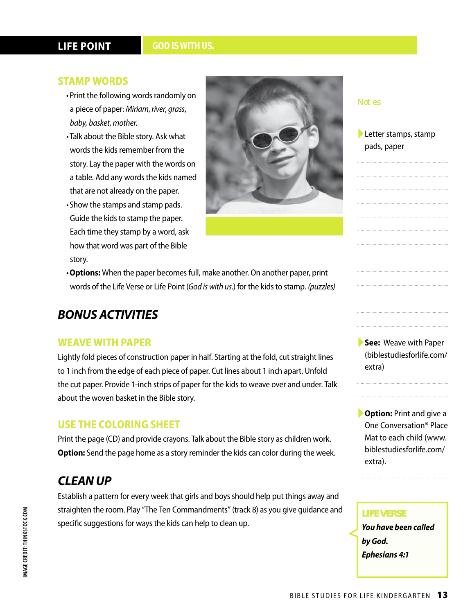# **LIFE POINT**

#### *GOD IS WITH US.*

### **STAMP WORDS**

- •Print the following words randomly on a piece of paper: *Miriam*, *river*, *grass*, *baby, basket*, *mother*.
- •Talk about the Bible story. Ask what words the kids remember from the story. Lay the paper with the words on a table. Add any words the kids named that are not already on the paper.
- •Show the stamps and stamp pads. Guide the kids to stamp the paper. Each time they stamp by a word, ask how that word was part of the Bible story.



•**Options:** When the paper becomes full, make another. On another paper, print words of the Life Verse or Life Point (*God is with us.*) for the kids to stamp. *(puzzles)*

# *BONUS ACTIVITIES*

### **WEAVE WITH PAPER**

Lightly fold pieces of construction paper in half. Starting at the fold, cut straight lines to 1 inch from the edge of each piece of paper. Cut lines about 1 inch apart. Unfold the cut paper. Provide 1-inch strips of paper for the kids to weave over and under. Talk about the woven basket in the Bible story.

## **USE THE COLORING SHEET**

Print the page (CD) and provide crayons. Talk about the Bible story as children work. **Option:** Send the page home as a story reminder the kids can color during the week.

# *CLEAN UP*

Establish a pattern for every week that girls and boys should help put things away and straighten the room. Play "The Ten Commandments" (track 8) as you give guidance and specific suggestions for ways the kids can help to clean up.

#### Notes

## ►Letter stamps, stamp pads, paper

►**See:** Weave with Paper (biblestudiesforlife.com/ extra)

►**Option:** Print and give a One Conversation® Place Mat to each child (www. biblestudiesforlife.com/ extra).

# **LIFE VERSE**

*You have been called by God. Ephesians 4:1*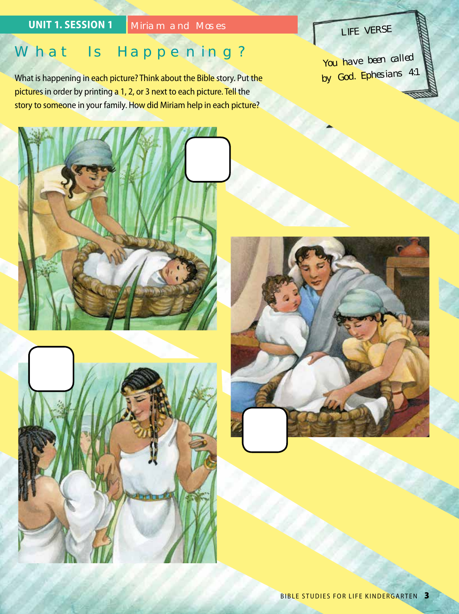# **UNIT 1. SESSION 1** Miriam and Moses

# What Is Happening?

What is happening in each picture? Think about the Bible story. Put the pictures in order by printing a 1, 2, or 3 next to each picture. Tell the story to someone in your family. How did Miriam help in each picture?





LIFE VERSE You have been called by God. Ephesians 4:1